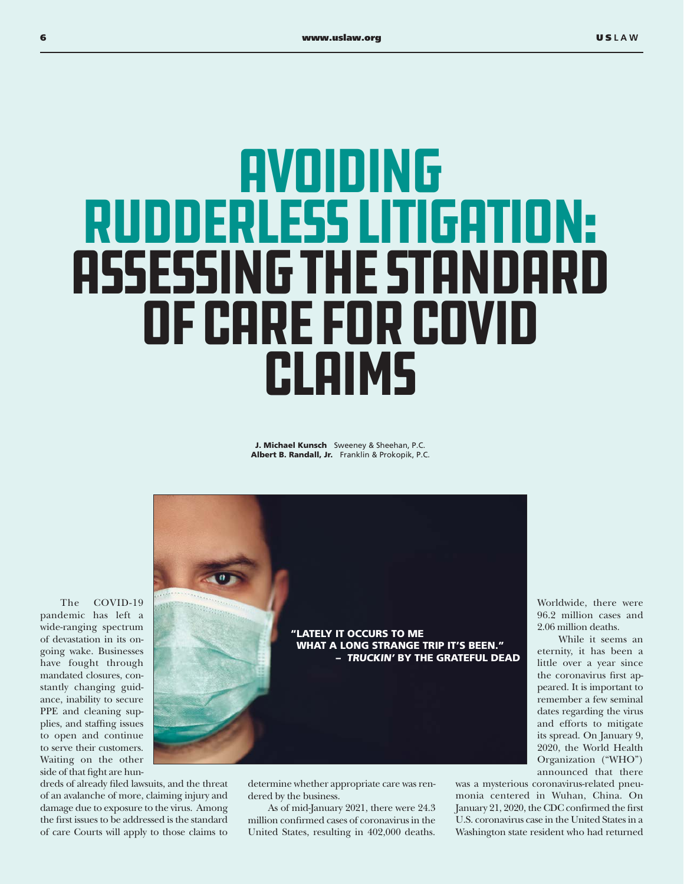## **AVOIDING** Rudderless Litigation: Assessing the Standard of Care for COVID Claims

J. Michael Kunsch Sweeney & Sheehan, P.C. Albert B. Randall, Jr. Franklin & Prokopik, P.C.



determine whether appropriate care was rendered by the business.

As of mid-January 2021, there were 24.3 million confirmed cases of coronavirus in the United States, resulting in 402,000 deaths.

Worldwide, there were 96.2 million cases and 2.06 million deaths.

 While it seems an eternity, it has been a little over a year since the coronavirus first appeared. It is important to remember a few seminal dates regarding the virus and efforts to mitigate its spread. On January 9, 2020, the World Health Organization ("WHO") announced that there

was a mysterious coronavirus-related pneumonia centered in Wuhan, China. On January 21, 2020, the CDC confirmed the first U.S. coronavirus case in the United States in a Washington state resident who had returned

The COVID-19 pandemic has left a wide-ranging spectrum of devastation in its ongoing wake. Businesses have fought through mandated closures, constantly changing guidance, inability to secure PPE and cleaning supplies, and staffing issues to open and continue to serve their customers. Waiting on the other side of that fight are hun-

dreds of already filed lawsuits, and the threat of an avalanche of more, claiming injury and damage due to exposure to the virus. Among the first issues to be addressed is the standard of care Courts will apply to those claims to